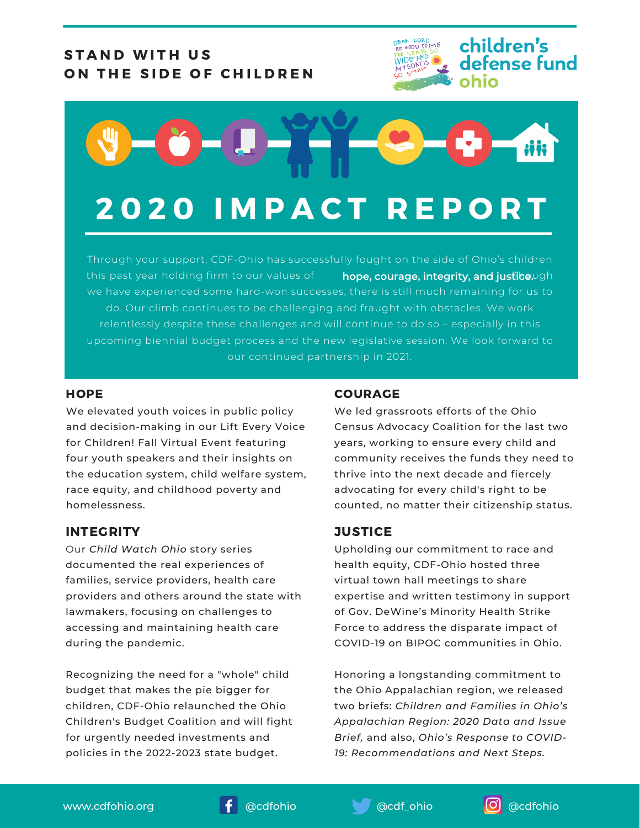## STAND WITH US ON THE SIDE OF CHILDREN





## 2 0 2 0 I M P A C T R E P O R T

Through your support, CDF-Ohio has successfully fought on the side of Ohio's children  $t$ his past year holding firm to our values of  $\qquad$  hope, courage, integrity, and justibe.ugh we have experienced some hard-won successes, there is still much remaining for us to do. Our climb continues to be challenging and fraught with obstacles. We work relentlessly despite these challenges and will continue to do so – especially in this upcoming biennial budget process and the new legislative session. We look forward to our continued partnership in 2021.

#### **HOPE**

We elevated youth voices in public policy and decision-making in our Lift Every Voice for Children! Fall Virtual Event featuring four youth speakers and their insights on the education system, child welfare system, race equity, and childhood poverty and homelessness.

### INTEGRITY

Our *Child Watch Ohio* story series documented the real experiences of families, service providers, health care providers and others around the state with lawmakers, focusing on challenges to accessing and maintaining health care during the pandemic.

Recognizing the need for a "whole" child budget that makes the pie bigger for children, CDF-Ohio relaunched the Ohio Children's Budget Coalition and will fight for urgently needed investments and policies in the 2022-2023 state budget.

#### COURAGE

We led grassroots efforts of the Ohio Census Advocacy Coalition for the last two years, working to ensure every child and community receives the funds they need to thrive into the next decade and fiercely advocating for every child's right to be counted, no matter their citizenship status.

### **JUSTICE**

Upholding our commitment to race and health equity, CDF-Ohio hosted three virtual town hall meetings to share expertise and written testimony in support of Gov. DeWine's Minority Health Strike Force to address the disparate impact of COVID-19 on BIPOC communities in Ohio.

Honoring a longstanding commitment to the Ohio Appalachian region, we released two briefs: *Children and Families in Ohio's Appalachian Region: 2020 Data and Issue Brief,* and also, *Ohio's Response to COVID-19: Recommendations and Next Steps.*